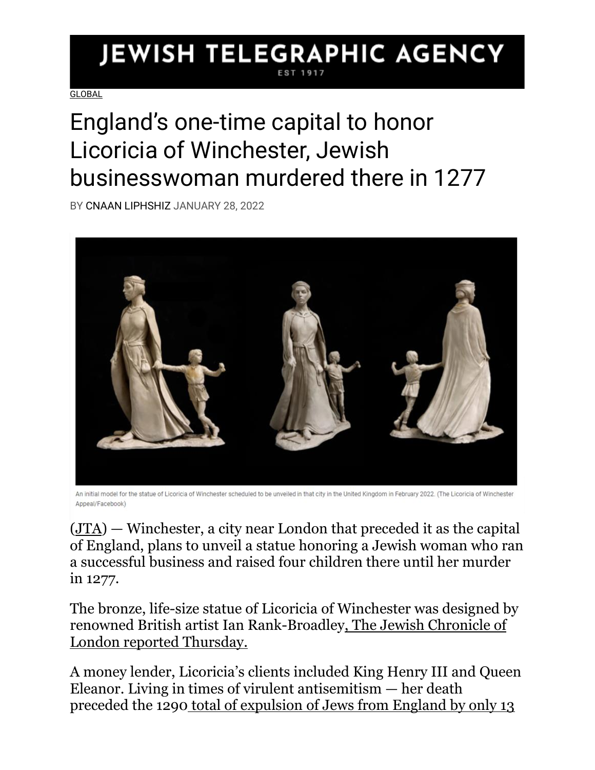## **JEWISH TELEGRAPHIC AGENCY**

**[GLOBAL](https://www.jta.org/category/global)** 

## England's one-time capital to honor Licoricia of Winchester, Jewish businesswoman murdered there in 1277

BY [CNAAN LIPHSHIZ](https://www.jta.org/author/cnaan-liphshiz) JANUARY 28, 2022



An initial model for the statue of Licoricia of Winchester scheduled to be unveiled in that city in the United Kingdom in February 2022. (The Licoricia of Winchester Appeal/Facebook)

[\(JTA\)](http://www.jta.org/) — Winchester, a city near London that preceded it as the capital of England, plans to unveil a statue honoring a Jewish woman who ran a successful business and raised four children there until her murder in 1277.

The bronze, life-size statue of Licoricia of Winchester was designed by renowned British artist Ian Rank-Broadle[y, The Jewish Chronicle of](https://www.thejc.com/news/news/statue-of-medieval-jewish-heroine-finally-to-be-erected-in-winchester-7gGeLxzaJrAxQS88OgVRjv)  [London reported Thursday.](https://www.thejc.com/news/news/statue-of-medieval-jewish-heroine-finally-to-be-erected-in-winchester-7gGeLxzaJrAxQS88OgVRjv)

A money lender, Licoricia's clients included King Henry III and Queen Eleanor. Living in times of virulent antisemitism — her death preceded the 1290 [total of expulsion of Jews from England by only 13](https://www.history.ox.ac.uk/::ognode-637356::/files/download-resource-printable-pdf-5)